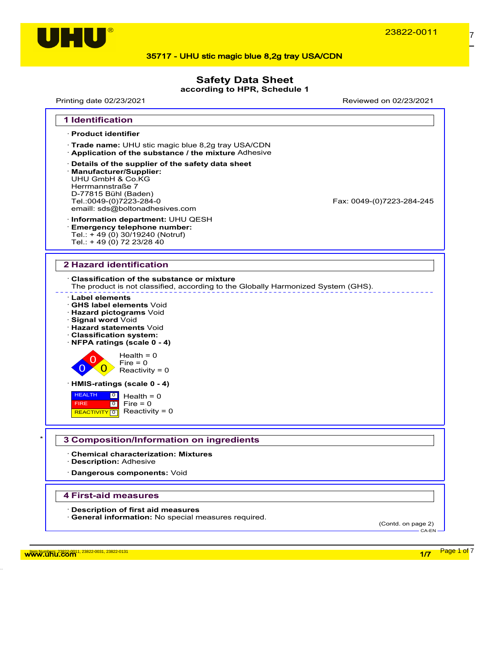

## **Safety Data Sheet**

**according to HPR, Schedule 1**

Printing date 02/23/2021 Reviewed on 02/23/2021



w<mark>ww.uhu.com 1, 23822-0031, 23822-0031, 23822-0131</mark> Page 1 of 7 Annual 2012 of 7 Annual 2012 of 7 Annual 2012 of 7 Annual 2012 of 7 Annual 2012 of 7 Annual 2012 of 7 Annual 2012 of 7 Annual 2012 of 7 Annual 2012 of 7 Annua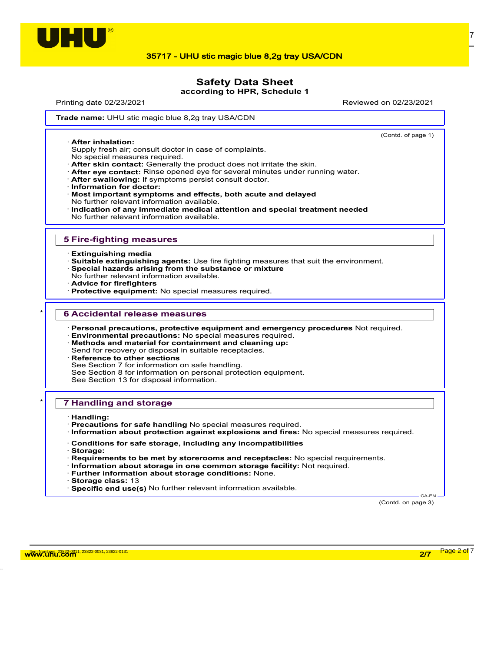

## **Safety Data Sheet**

**according to HPR, Schedule 1**

Printing date 02/23/2021 Reviewed on 02/23/2021

(Contd. of page 1)

**Trade name: UHU stic magic blue 8,2g tray USA/CDN** 

· **After inhalation:**

Supply fresh air; consult doctor in case of complaints.

- No special measures required.
- · **After skin contact:** Generally the product does not irritate the skin.
- · **After eye contact:** Rinse opened eye for several minutes under running water.
- · **After swallowing:** If symptoms persist consult doctor.
- · **Information for doctor:**
- · **Most important symptoms and effects, both acute and delayed** No further relevant information available.
- · **Indication of any immediate medical attention and special treatment needed** No further relevant information available.

#### **5 Fire-fighting measures**

- · **Extinguishing media**
- · **Suitable extinguishing agents:** Use fire fighting measures that suit the environment.
- · **Special hazards arising from the substance or mixture**
- No further relevant information available.
- · **Advice for firefighters**
- · **Protective equipment:** No special measures required.

#### \* **6 Accidental release measures**

- · **Personal precautions, protective equipment and emergency procedures** Not required.
- · **Environmental precautions:** No special measures required. · **Methods and material for containment and cleaning up:**
- Send for recovery or disposal in suitable receptacles.
- **Reference to other sections**
- See Section 7 for information on safe handling.
- See Section 8 for information on personal protection equipment.
- See Section 13 for disposal information.

#### \* **7 Handling and storage**

- · **Handling:**
- · **Precautions for safe handling** No special measures required.
- · **Information about protection against explosions and fires:** No special measures required.
- · **Conditions for safe storage, including any incompatibilities**
- · **Storage:**
- · **Requirements to be met by storerooms and receptacles:** No special requirements.
- · **Information about storage in one common storage facility:** Not required.
- · **Further information about storage conditions:** None.
- · **Storage class:** 13
- · **Specific end use(s)** No further relevant information available.

(Contd. on page 3)

CA-EN

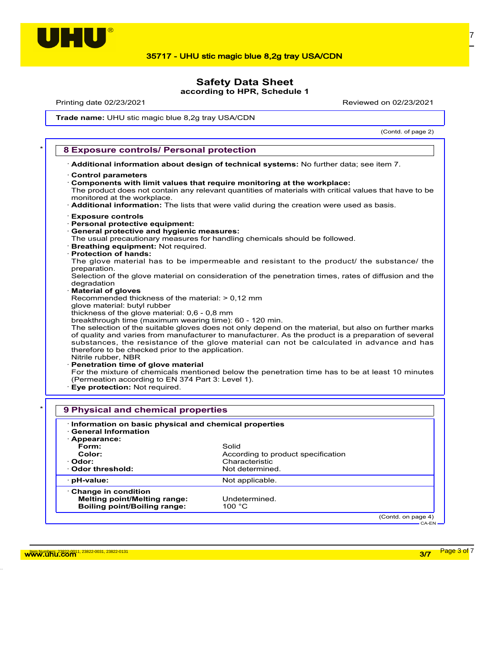

# **Safety Data Sheet**

**according to HPR, Schedule 1**

Printing date 02/23/2021 Reviewed on 02/23/2021

**Trade name: UHU stic magic blue 8,2g tray USA/CDN** 

(Contd. of page 2)

#### \* **8 Exposure controls/ Personal protection**

· **Additional information about design of technical systems:** No further data; see item 7.

- · **Control parameters**
- · **Components with limit values that require monitoring at the workplace:**

The product does not contain any relevant quantities of materials with critical values that have to be monitored at the workplace.

· **Additional information:** The lists that were valid during the creation were used as basis.

- · **Exposure controls**
- · **Personal protective equipment:**
- · **General protective and hygienic measures:**

The usual precautionary measures for handling chemicals should be followed.

- · **Breathing equipment:** Not required.
- · **Protection of hands:**

The glove material has to be impermeable and resistant to the product/ the substance/ the preparation.

Selection of the glove material on consideration of the penetration times, rates of diffusion and the degradation

· **Material of gloves**

Recommended thickness of the material: > 0,12 mm

- glove material: butyl rubber
- thickness of the glove material: 0,6 0,8 mm

breakthrough time (maximum wearing time): 60 - 120 min.

The selection of the suitable gloves does not only depend on the material, but also on further marks of quality and varies from manufacturer to manufacturer. As the product is a preparation of several substances, the resistance of the glove material can not be calculated in advance and has therefore to be checked prior to the application.

Nitrile rubber, NBR

· **Penetration time of glove material**

For the mixture of chemicals mentioned below the penetration time has to be at least 10 minutes (Permeation according to EN 374 Part 3: Level 1).

· **Eye protection:** Not required.

| Information on basic physical and chemical properties<br><b>General Information</b> |                                    |  |
|-------------------------------------------------------------------------------------|------------------------------------|--|
| $\cdot$ Appearance:<br>Form:                                                        | Solid                              |  |
| Color:                                                                              | According to product specification |  |
| · Odor:                                                                             | Characteristic                     |  |
| ⋅ Odor threshold:                                                                   | Not determined.                    |  |
| · pH-value:                                                                         | Not applicable.                    |  |
| $\cdot$ Change in condition                                                         |                                    |  |
| <b>Melting point/Melting range:</b>                                                 | Undetermined.                      |  |
| <b>Boiling point/Boiling range:</b>                                                 | 100 $^{\circ}$ C                   |  |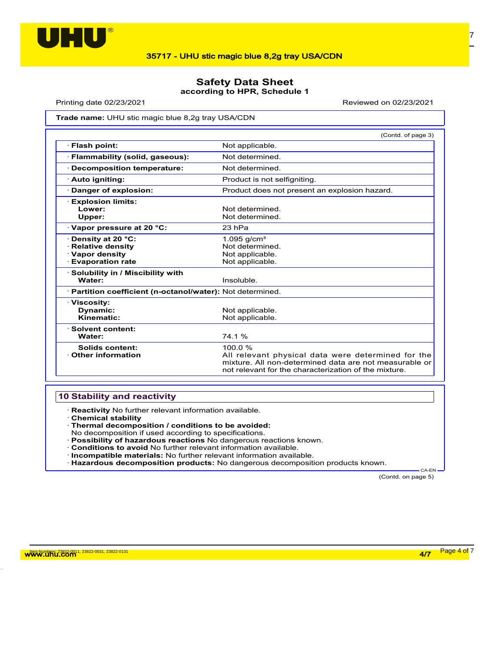

## **Safety Data Sheet according to HPR, Schedule 1**

Printing date 02/23/2021 Reviewed on 02/23/2021

**Trade name: UHU stic magic blue 8,2g tray USA/CDN** 

|                                                                                                    | (Contd. of page 3)                                                                                                                                                              |
|----------------------------------------------------------------------------------------------------|---------------------------------------------------------------------------------------------------------------------------------------------------------------------------------|
| · Flash point:                                                                                     | Not applicable.                                                                                                                                                                 |
| · Flammability (solid, gaseous):                                                                   | Not determined                                                                                                                                                                  |
| · Decomposition temperature:                                                                       | Not determined.                                                                                                                                                                 |
| · Auto igniting:                                                                                   | Product is not selfigniting.                                                                                                                                                    |
| Danger of explosion:                                                                               | Product does not present an explosion hazard.                                                                                                                                   |
| · Explosion limits:<br>Lower:<br>Upper:                                                            | Not determined<br>Not determined.                                                                                                                                               |
| Vapor pressure at 20 °C:                                                                           | 23 hPa                                                                                                                                                                          |
| · Density at 20 °C:<br>$\cdot$ Relative density<br><b>Vapor density</b><br><b>Evaporation rate</b> | 1.095 $g/cm^{3}$<br>Not determined.<br>Not applicable.<br>Not applicable.                                                                                                       |
| · Solubility in / Miscibility with<br>Water:                                                       | Insoluble.                                                                                                                                                                      |
| · Partition coefficient (n-octanol/water): Not determined.                                         |                                                                                                                                                                                 |
| · Viscosity:<br>Dynamic:<br>Kinematic:                                                             | Not applicable.<br>Not applicable.                                                                                                                                              |
| · Solvent content:<br>Water:                                                                       | 74.1%                                                                                                                                                                           |
| Solids content:<br>Other information                                                               | 100.0%<br>All relevant physical data were determined for the<br>mixture. All non-determined data are not measurable or<br>not relevant for the characterization of the mixture. |

## **10 Stability and reactivity**

· **Reactivity** No further relevant information available.

- · **Chemical stability**
- · **Thermal decomposition / conditions to be avoided:**
- No decomposition if used according to specifications.
- · **Possibility of hazardous reactions** No dangerous reactions known.
- · **Conditions to avoid** No further relevant information available.
- · **Incompatible materials:** No further relevant information available.
- · **Hazardous decomposition products:** No dangerous decomposition products known.

(Contd. on page 5)

CA-EN

w<mark>ww.uhu.com 4/7 Page 4 of</mark> 7 مسلمات المستخدمات المستخدمات المستخدمات المستخدمات المستخدمات المستخدمات المستخدمات المستخدمات المستخدمات المستخدمات المستخدمات المستخدمات المستخدمات المستخدمات المستخدمات المستخدمات المستخدما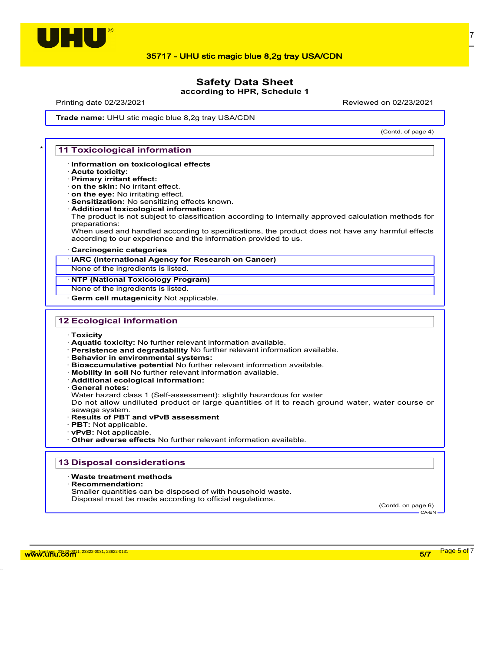

### **Safety Data Sheet according to HPR, Schedule 1**

Printing date 02/23/2021 Reviewed on 02/23/2021

(Contd. of page 4)

**Trade name: UHU stic magic blue 8,2g tray USA/CDN** 

#### **11 Toxicological information**

- · **Information on toxicological effects**
- · **Acute toxicity:**
- · **Primary irritant effect:**
- · **on the skin:** No irritant effect. · **on the eye:** No irritating effect.
- · **Sensitization:** No sensitizing effects known.
- · **Additional toxicological information:**
- The product is not subject to classification according to internally approved calculation methods for preparations:

When used and handled according to specifications, the product does not have any harmful effects according to our experience and the information provided to us.

#### · **Carcinogenic categories**

· **IARC (International Agency for Research on Cancer)**

None of the ingredients is listed.

#### · **NTP (National Toxicology Program)**

None of the ingredients is listed.

**Germ cell mutagenicity Not applicable.** 

#### **12 Ecological information**

- · **Toxicity**
- · **Aquatic toxicity:** No further relevant information available.
- · **Persistence and degradability** No further relevant information available.
- · **Behavior in environmental systems:**
- · **Bioaccumulative potential** No further relevant information available.
- · **Mobility in soil** No further relevant information available.
- · **Additional ecological information:**
- · **General notes:**

Water hazard class 1 (Self-assessment): slightly hazardous for water

Do not allow undiluted product or large quantities of it to reach ground water, water course or

- sewage system. · **Results of PBT and vPvB assessment**
- · **PBT:** Not applicable.
- · **vPvB:** Not applicable.
- · **Other adverse effects** No further relevant information available.

#### **13 Disposal considerations**

#### · **Waste treatment methods**

· **Recommendation:**

Smaller quantities can be disposed of with household waste. Disposal must be made according to official regulations.

(Contd. on page 6) CA-EN

w<mark>ww.uhu.com 5/7 Page 5 of</mark> 7 Page 5 of <sup>7</sup>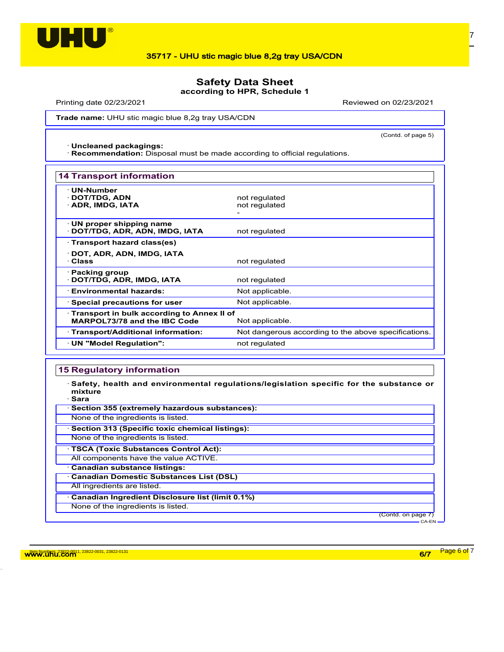

## **Safety Data Sheet**

**according to HPR, Schedule 1**

Printing date 02/23/2021 Reviewed on 02/23/2021

(Contd. of page 5)

**Trade name: UHU stic magic blue 8,2g tray USA/CDN** 

· **Uncleaned packagings:**

· **Recommendation:** Disposal must be made according to official regulations.

| <b>14 Transport information</b>                                                                 |                                                      |  |
|-------------------------------------------------------------------------------------------------|------------------------------------------------------|--|
| <b>UN-Number</b><br>· DOT/TDG, ADN<br>· ADR, IMDG, IATA                                         | not regulated<br>not regulated                       |  |
| $\cdot$ UN proper shipping name<br>· DOT/TDG, ADR, ADN, IMDG, IATA                              | not regulated                                        |  |
| · Transport hazard class(es)                                                                    |                                                      |  |
| · DOT, ADR, ADN, IMDG, IATA<br>· Class                                                          | not regulated                                        |  |
| $\cdot$ Packing group<br>· DOT/TDG, ADR, IMDG, IATA                                             | not regulated                                        |  |
| · Environmental hazards:                                                                        | Not applicable.                                      |  |
| $\cdot$ Special precautions for user                                                            | Not applicable.                                      |  |
| · Transport in bulk according to Annex II of<br>MARPOL73/78 and the IBC Code<br>Not applicable. |                                                      |  |
| · Transport/Additional information:                                                             | Not dangerous according to the above specifications. |  |
| · UN "Model Regulation":                                                                        | not regulated                                        |  |

### **15 Regulatory information**

· **Safety, health and environmental regulations/legislation specific for the substance or mixture**

· **Sara**

(Contd. on page 7) CA-EN

w<mark>ww.uhu.com 33822-0031, 23822-0031, 23822-0131</mark> Page 6 of 7 And 2012 and 2012 and 2012 and 2012 and 2012 and 201